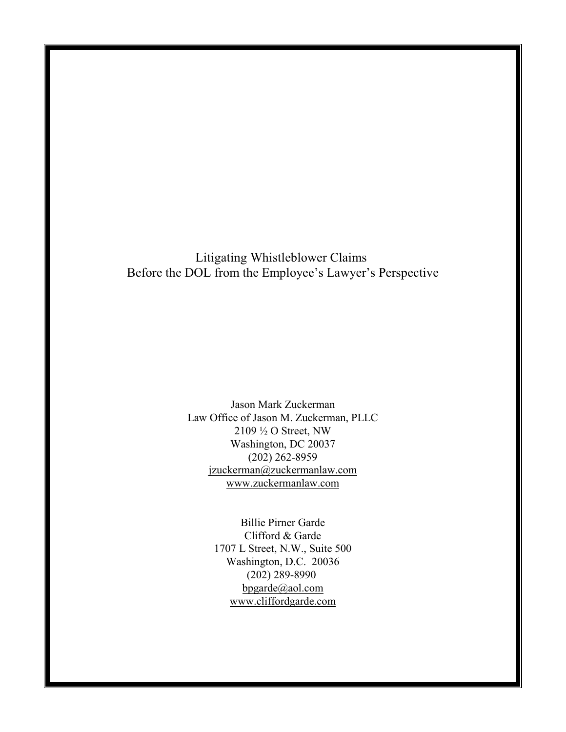Litigating Whistleblower Claims Before the DOL from the Employee's Lawyer's Perspective

> Jason Mark Zuckerman Law Office of Jason M. Zuckerman, PLLC 2109 ½ O Street, NW Washington, DC 20037 (202) 262-8959 [jzuckerman@zuckermanlaw.com](mailto:jzuckerman@zuckermanlaw.com) [www.zuckermanlaw.com](http://www.zuckermanlaw.com)

> > Billie Pirner Garde Clifford & Garde 1707 L Street, N.W., Suite 500 Washington, D.C. 20036 (202) 289-8990 [bpgarde@aol.com](mailto:bpgarde@aol.com) [www.cliffordgarde.com](http://www.cliffordgarde.com)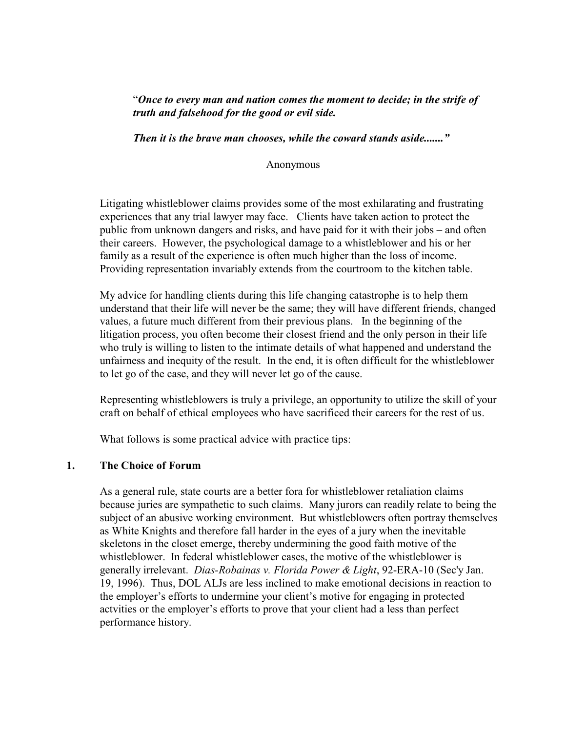# "*Once to every man and nation comes the moment to decide; in the strife of truth and falsehood for the good or evil side.*

*Then it is the brave man chooses, while the coward stands aside......."*

Anonymous

Litigating whistleblower claims provides some of the most exhilarating and frustrating experiences that any trial lawyer may face. Clients have taken action to protect the public from unknown dangers and risks, and have paid for it with their jobs – and often their careers. However, the psychological damage to a whistleblower and his or her family as a result of the experience is often much higher than the loss of income. Providing representation invariably extends from the courtroom to the kitchen table.

My advice for handling clients during this life changing catastrophe is to help them understand that their life will never be the same; they will have different friends, changed values, a future much different from their previous plans. In the beginning of the litigation process, you often become their closest friend and the only person in their life who truly is willing to listen to the intimate details of what happened and understand the unfairness and inequity of the result. In the end, it is often difficult for the whistleblower to let go of the case, and they will never let go of the cause.

Representing whistleblowers is truly a privilege, an opportunity to utilize the skill of your craft on behalf of ethical employees who have sacrificed their careers for the rest of us.

What follows is some practical advice with practice tips:

## **1. The Choice of Forum**

As a general rule, state courts are a better fora for whistleblower retaliation claims because juries are sympathetic to such claims. Many jurors can readily relate to being the subject of an abusive working environment. But whistleblowers often portray themselves as White Knights and therefore fall harder in the eyes of a jury when the inevitable skeletons in the closet emerge, thereby undermining the good faith motive of the whistleblower. In federal whistleblower cases, the motive of the whistleblower is generally irrelevant. *Dias-Robainas v. Florida Power & Light*, 92-ERA-10 (Sec'y Jan. 19, 1996). Thus, DOL ALJs are less inclined to make emotional decisions in reaction to the employer's efforts to undermine your client's motive for engaging in protected actvities or the employer's efforts to prove that your client had a less than perfect performance history.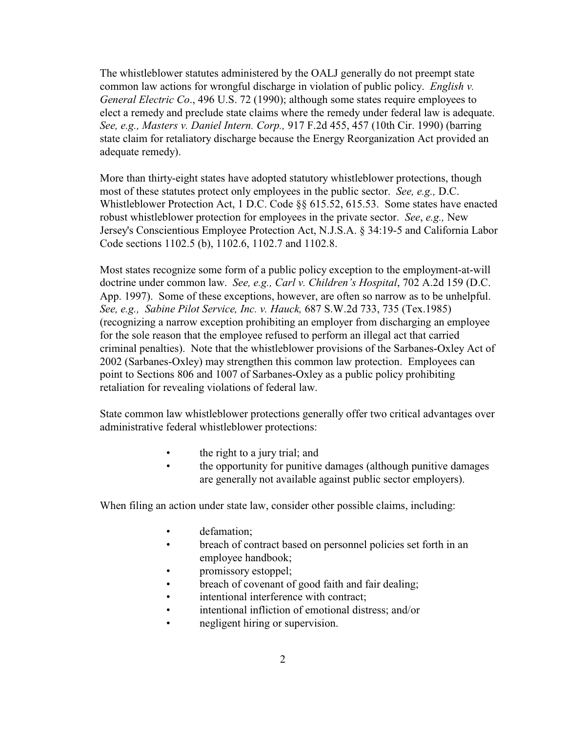The whistleblower statutes administered by the OALJ generally do not preempt state common law actions for wrongful discharge in violation of public policy. *English v. General Electric Co*., 496 U.S. 72 (1990); although some states require employees to elect a remedy and preclude state claims where the remedy under federal law is adequate. *See, e.g., Masters v. Daniel Intern. Corp.,* 917 F.2d 455, 457 (10th Cir. 1990) (barring state claim for retaliatory discharge because the Energy Reorganization Act provided an adequate remedy).

More than thirty-eight states have adopted statutory whistleblower protections, though most of these statutes protect only employees in the public sector. *See, e.g.,* D.C. Whistleblower Protection Act, 1 D.C. Code §§ 615.52, 615.53. Some states have enacted robust whistleblower protection for employees in the private sector. *See*, *e.g.,* New Jersey's Conscientious Employee Protection Act, N.J.S.A. § 34:19-5 and California Labor Code sections 1102.5 (b), 1102.6, 1102.7 and 1102.8.

Most states recognize some form of a public policy exception to the employment-at-will doctrine under common law. *See, e.g., Carl v. Children's Hospital*, 702 A.2d 159 (D.C. App. 1997). Some of these exceptions, however, are often so narrow as to be unhelpful. *See, e.g., Sabine Pilot Service, Inc. v. Hauck,* 687 S.W.2d 733, 735 (Tex.1985) (recognizing a narrow exception prohibiting an employer from discharging an employee for the sole reason that the employee refused to perform an illegal act that carried criminal penalties). Note that the whistleblower provisions of the Sarbanes-Oxley Act of 2002 (Sarbanes-Oxley) may strengthen this common law protection. Employees can point to Sections 806 and 1007 of Sarbanes-Oxley as a public policy prohibiting retaliation for revealing violations of federal law.

State common law whistleblower protections generally offer two critical advantages over administrative federal whistleblower protections:

- the right to a jury trial; and
- the opportunity for punitive damages (although punitive damages) are generally not available against public sector employers).

When filing an action under state law, consider other possible claims, including:

- defamation;
- breach of contract based on personnel policies set forth in an employee handbook;
- promissory estoppel;
- breach of covenant of good faith and fair dealing;
- intentional interference with contract;
- intentional infliction of emotional distress; and/or
- negligent hiring or supervision.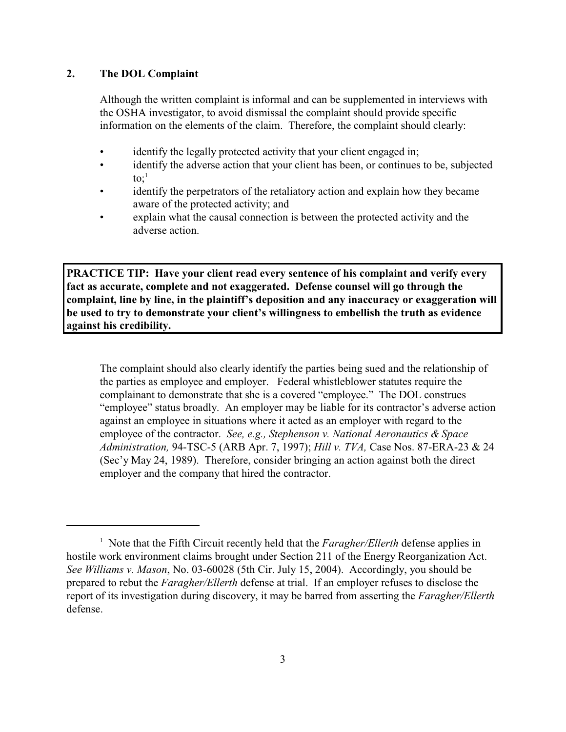## **2. The DOL Complaint**

Although the written complaint is informal and can be supplemented in interviews with the OSHA investigator, to avoid dismissal the complaint should provide specific information on the elements of the claim. Therefore, the complaint should clearly:

- identify the legally protected activity that your client engaged in;
- identify the adverse action that your client has been, or continues to be, subjected to: $\cdot$ <sup>1</sup>
- identify the perpetrators of the retaliatory action and explain how they became aware of the protected activity; and
- explain what the causal connection is between the protected activity and the adverse action.

**PRACTICE TIP: Have your client read every sentence of his complaint and verify every fact as accurate, complete and not exaggerated. Defense counsel will go through the complaint, line by line, in the plaintiff's deposition and any inaccuracy or exaggeration will be used to try to demonstrate your client's willingness to embellish the truth as evidence against his credibility.**

The complaint should also clearly identify the parties being sued and the relationship of the parties as employee and employer. Federal whistleblower statutes require the complainant to demonstrate that she is a covered "employee." The DOL construes "employee" status broadly. An employer may be liable for its contractor's adverse action against an employee in situations where it acted as an employer with regard to the employee of the contractor. *See, e.g., Stephenson v. National Aeronautics & Space Administration,* 94-TSC-5 (ARB Apr. 7, 1997); *Hill v. TVA,* Case Nos. 87-ERA-23 & 24 (Sec'y May 24, 1989). Therefore, consider bringing an action against both the direct employer and the company that hired the contractor.

<sup>&</sup>lt;sup>1</sup> Note that the Fifth Circuit recently held that the *Faragher/Ellerth* defense applies in hostile work environment claims brought under Section 211 of the Energy Reorganization Act. *See Williams v. Mason*, No. 03-60028 (5th Cir. July 15, 2004). Accordingly, you should be prepared to rebut the *Faragher/Ellerth* defense at trial. If an employer refuses to disclose the report of its investigation during discovery, it may be barred from asserting the *Faragher/Ellerth* defense.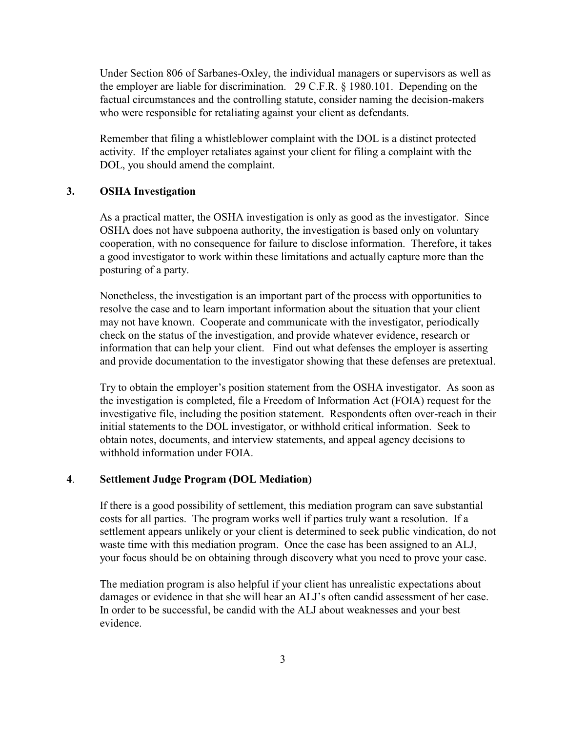Under Section 806 of Sarbanes-Oxley, the individual managers or supervisors as well as the employer are liable for discrimination. 29 C.F.R. § 1980.101. Depending on the factual circumstances and the controlling statute, consider naming the decision-makers who were responsible for retaliating against your client as defendants.

Remember that filing a whistleblower complaint with the DOL is a distinct protected activity. If the employer retaliates against your client for filing a complaint with the DOL, you should amend the complaint.

#### **3. OSHA Investigation**

As a practical matter, the OSHA investigation is only as good as the investigator. Since OSHA does not have subpoena authority, the investigation is based only on voluntary cooperation, with no consequence for failure to disclose information. Therefore, it takes a good investigator to work within these limitations and actually capture more than the posturing of a party.

Nonetheless, the investigation is an important part of the process with opportunities to resolve the case and to learn important information about the situation that your client may not have known. Cooperate and communicate with the investigator, periodically check on the status of the investigation, and provide whatever evidence, research or information that can help your client. Find out what defenses the employer is asserting and provide documentation to the investigator showing that these defenses are pretextual.

Try to obtain the employer's position statement from the OSHA investigator. As soon as the investigation is completed, file a Freedom of Information Act (FOIA) request for the investigative file, including the position statement. Respondents often over-reach in their initial statements to the DOL investigator, or withhold critical information. Seek to obtain notes, documents, and interview statements, and appeal agency decisions to withhold information under FOIA.

## **4**. **Settlement Judge Program (DOL Mediation)**

If there is a good possibility of settlement, this mediation program can save substantial costs for all parties. The program works well if parties truly want a resolution. If a settlement appears unlikely or your client is determined to seek public vindication, do not waste time with this mediation program. Once the case has been assigned to an ALJ, your focus should be on obtaining through discovery what you need to prove your case.

The mediation program is also helpful if your client has unrealistic expectations about damages or evidence in that she will hear an ALJ's often candid assessment of her case. In order to be successful, be candid with the ALJ about weaknesses and your best evidence.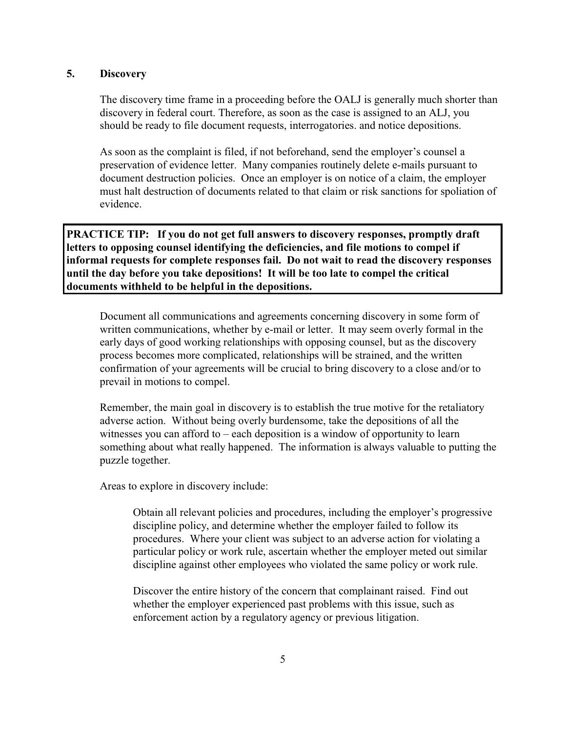## **5. Discovery**

The discovery time frame in a proceeding before the OALJ is generally much shorter than discovery in federal court. Therefore, as soon as the case is assigned to an ALJ, you should be ready to file document requests, interrogatories. and notice depositions.

As soon as the complaint is filed, if not beforehand, send the employer's counsel a preservation of evidence letter. Many companies routinely delete e-mails pursuant to document destruction policies. Once an employer is on notice of a claim, the employer must halt destruction of documents related to that claim or risk sanctions for spoliation of evidence.

**PRACTICE TIP: If you do not get full answers to discovery responses, promptly draft letters to opposing counsel identifying the deficiencies, and file motions to compel if informal requests for complete responses fail. Do not wait to read the discovery responses until the day before you take depositions! It will be too late to compel the critical documents withheld to be helpful in the depositions.** 

Document all communications and agreements concerning discovery in some form of written communications, whether by e-mail or letter. It may seem overly formal in the early days of good working relationships with opposing counsel, but as the discovery process becomes more complicated, relationships will be strained, and the written confirmation of your agreements will be crucial to bring discovery to a close and/or to prevail in motions to compel.

Remember, the main goal in discovery is to establish the true motive for the retaliatory adverse action. Without being overly burdensome, take the depositions of all the witnesses you can afford to  $-$  each deposition is a window of opportunity to learn something about what really happened. The information is always valuable to putting the puzzle together.

Areas to explore in discovery include:

Obtain all relevant policies and procedures, including the employer's progressive discipline policy, and determine whether the employer failed to follow its procedures. Where your client was subject to an adverse action for violating a particular policy or work rule, ascertain whether the employer meted out similar discipline against other employees who violated the same policy or work rule.

Discover the entire history of the concern that complainant raised. Find out whether the employer experienced past problems with this issue, such as enforcement action by a regulatory agency or previous litigation.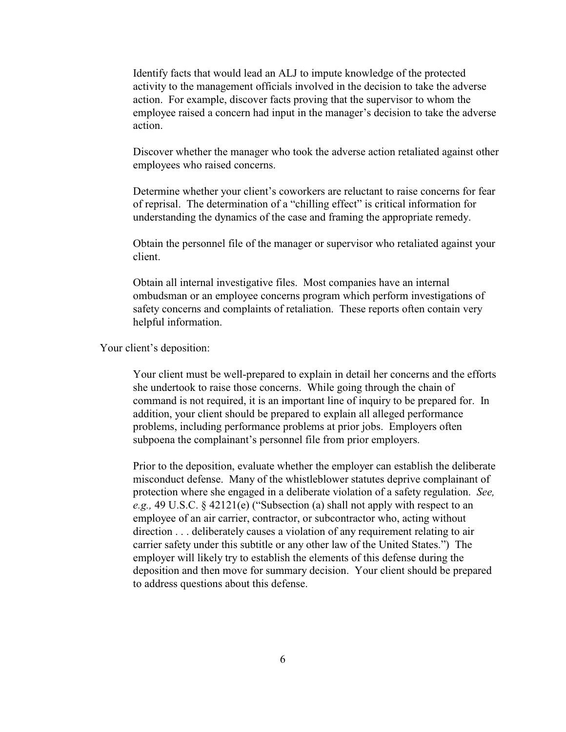Identify facts that would lead an ALJ to impute knowledge of the protected activity to the management officials involved in the decision to take the adverse action. For example, discover facts proving that the supervisor to whom the employee raised a concern had input in the manager's decision to take the adverse action.

Discover whether the manager who took the adverse action retaliated against other employees who raised concerns.

Determine whether your client's coworkers are reluctant to raise concerns for fear of reprisal. The determination of a "chilling effect" is critical information for understanding the dynamics of the case and framing the appropriate remedy.

Obtain the personnel file of the manager or supervisor who retaliated against your client.

Obtain all internal investigative files. Most companies have an internal ombudsman or an employee concerns program which perform investigations of safety concerns and complaints of retaliation. These reports often contain very helpful information.

Your client's deposition:

Your client must be well-prepared to explain in detail her concerns and the efforts she undertook to raise those concerns. While going through the chain of command is not required, it is an important line of inquiry to be prepared for. In addition, your client should be prepared to explain all alleged performance problems, including performance problems at prior jobs. Employers often subpoena the complainant's personnel file from prior employers.

Prior to the deposition, evaluate whether the employer can establish the deliberate misconduct defense. Many of the whistleblower statutes deprive complainant of protection where she engaged in a deliberate violation of a safety regulation. *See, e.g.,* 49 U.S.C. § 42121(e) ("Subsection (a) shall not apply with respect to an employee of an air carrier, contractor, or subcontractor who, acting without direction . . . deliberately causes a violation of any requirement relating to air carrier safety under this subtitle or any other law of the United States.") The employer will likely try to establish the elements of this defense during the deposition and then move for summary decision. Your client should be prepared to address questions about this defense.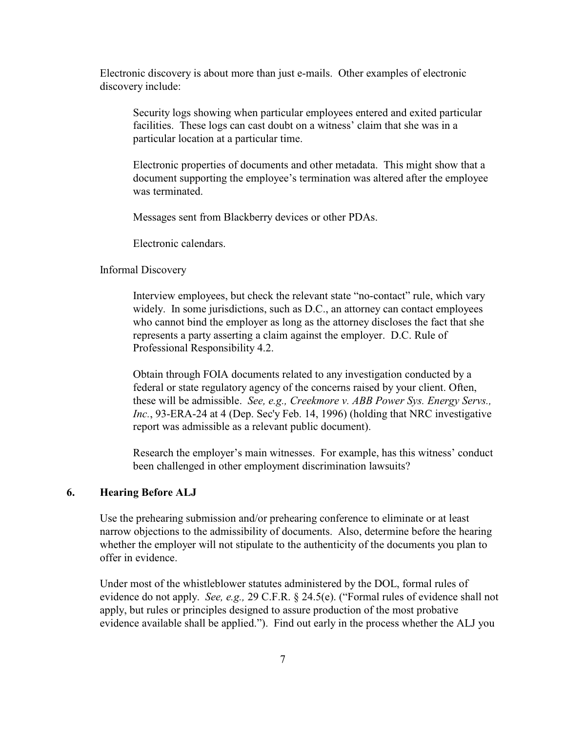Electronic discovery is about more than just e-mails. Other examples of electronic discovery include:

Security logs showing when particular employees entered and exited particular facilities. These logs can cast doubt on a witness' claim that she was in a particular location at a particular time.

Electronic properties of documents and other metadata. This might show that a document supporting the employee's termination was altered after the employee was terminated.

Messages sent from Blackberry devices or other PDAs.

Electronic calendars.

#### Informal Discovery

Interview employees, but check the relevant state "no-contact" rule, which vary widely. In some jurisdictions, such as D.C., an attorney can contact employees who cannot bind the employer as long as the attorney discloses the fact that she represents a party asserting a claim against the employer. D.C. Rule of Professional Responsibility 4.2.

Obtain through FOIA documents related to any investigation conducted by a federal or state regulatory agency of the concerns raised by your client. Often, these will be admissible. *See, e.g., Creekmore v. ABB Power Sys. Energy Servs., Inc.*, 93-ERA-24 at 4 (Dep. Sec'y Feb. 14, 1996) (holding that NRC investigative report was admissible as a relevant public document).

Research the employer's main witnesses. For example, has this witness' conduct been challenged in other employment discrimination lawsuits?

## **6. Hearing Before ALJ**

Use the prehearing submission and/or prehearing conference to eliminate or at least narrow objections to the admissibility of documents. Also, determine before the hearing whether the employer will not stipulate to the authenticity of the documents you plan to offer in evidence.

Under most of the whistleblower statutes administered by the DOL, formal rules of evidence do not apply. *See, e.g.,* 29 C.F.R. § 24.5(e). ("Formal rules of evidence shall not apply, but rules or principles designed to assure production of the most probative evidence available shall be applied."). Find out early in the process whether the ALJ you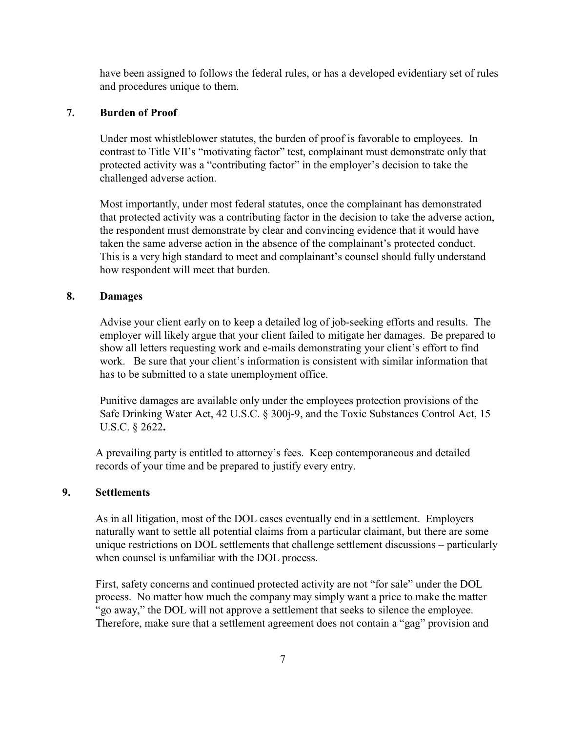have been assigned to follows the federal rules, or has a developed evidentiary set of rules and procedures unique to them.

## **7. Burden of Proof**

Under most whistleblower statutes, the burden of proof is favorable to employees. In contrast to Title VII's "motivating factor" test, complainant must demonstrate only that protected activity was a "contributing factor" in the employer's decision to take the challenged adverse action.

Most importantly, under most federal statutes, once the complainant has demonstrated that protected activity was a contributing factor in the decision to take the adverse action, the respondent must demonstrate by clear and convincing evidence that it would have taken the same adverse action in the absence of the complainant's protected conduct. This is a very high standard to meet and complainant's counsel should fully understand how respondent will meet that burden.

## **8. Damages**

Advise your client early on to keep a detailed log of job-seeking efforts and results. The employer will likely argue that your client failed to mitigate her damages. Be prepared to show all letters requesting work and e-mails demonstrating your client's effort to find work. Be sure that your client's information is consistent with similar information that has to be submitted to a state unemployment office.

Punitive damages are available only under the employees protection provisions of the Safe Drinking Water Act, 42 U.S.C. § 300j-9, and the Toxic Substances Control Act, 15 U.S.C. § 2622**.**

A prevailing party is entitled to attorney's fees. Keep contemporaneous and detailed records of your time and be prepared to justify every entry.

## **9. Settlements**

As in all litigation, most of the DOL cases eventually end in a settlement. Employers naturally want to settle all potential claims from a particular claimant, but there are some unique restrictions on DOL settlements that challenge settlement discussions – particularly when counsel is unfamiliar with the DOL process.

First, safety concerns and continued protected activity are not "for sale" under the DOL process. No matter how much the company may simply want a price to make the matter "go away," the DOL will not approve a settlement that seeks to silence the employee. Therefore, make sure that a settlement agreement does not contain a "gag" provision and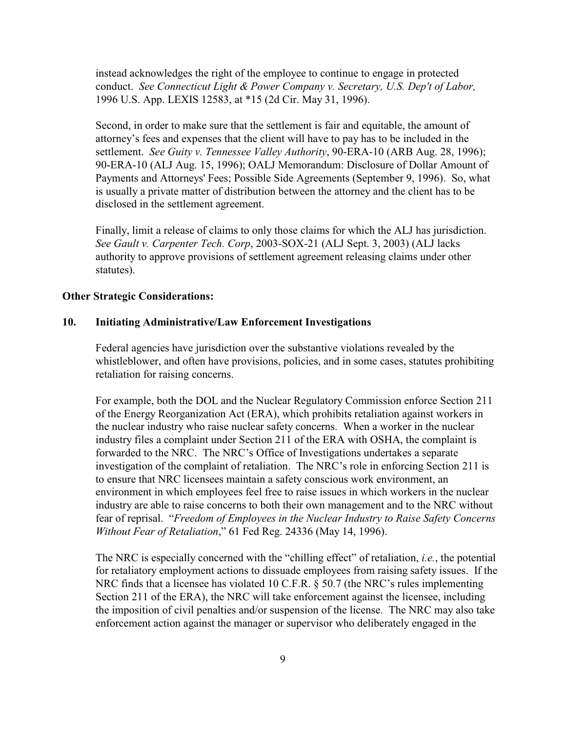instead acknowledges the right of the employee to continue to engage in protected conduct. *See Connecticut Light & Power Company v. Secretary, U.S. Dep't of Labor,* 1996 U.S. App. LEXIS 12583, at \*15 (2d Cir. May 31, 1996).

Second, in order to make sure that the settlement is fair and equitable, the amount of attorney's fees and expenses that the client will have to pay has to be included in the settlement. *See Guity v. Tennessee Valley Authority*, 90-ERA-10 (ARB Aug. 28, 1996); 90-ERA-10 (ALJ Aug. 15, 1996); OALJ Memorandum: Disclosure of Dollar Amount of Payments and Attorneys' Fees; Possible Side Agreements (September 9, 1996). So, what is usually a private matter of distribution between the attorney and the client has to be disclosed in the settlement agreement.

Finally, limit a release of claims to only those claims for which the ALJ has jurisdiction. *See Gault v. Carpenter Tech. Corp*, 2003-SOX-21 (ALJ Sept. 3, 2003) (ALJ lacks authority to approve provisions of settlement agreement releasing claims under other statutes).

#### **Other Strategic Considerations:**

#### **10. Initiating Administrative/Law Enforcement Investigations**

Federal agencies have jurisdiction over the substantive violations revealed by the whistleblower, and often have provisions, policies, and in some cases, statutes prohibiting retaliation for raising concerns.

For example, both the DOL and the Nuclear Regulatory Commission enforce Section 211 of the Energy Reorganization Act (ERA), which prohibits retaliation against workers in the nuclear industry who raise nuclear safety concerns. When a worker in the nuclear industry files a complaint under Section 211 of the ERA with OSHA, the complaint is forwarded to the NRC. The NRC's Office of Investigations undertakes a separate investigation of the complaint of retaliation. The NRC's role in enforcing Section 211 is to ensure that NRC licensees maintain a safety conscious work environment, an environment in which employees feel free to raise issues in which workers in the nuclear industry are able to raise concerns to both their own management and to the NRC without fear of reprisal. "*Freedom of Employees in the Nuclear Industry to Raise Safety Concerns Without Fear of Retaliation*," 61 Fed Reg. 24336 (May 14, 1996).

The NRC is especially concerned with the "chilling effect" of retaliation, *i.e.*, the potential for retaliatory employment actions to dissuade employees from raising safety issues. If the NRC finds that a licensee has violated 10 C.F.R. § 50.7 (the NRC's rules implementing Section 211 of the ERA), the NRC will take enforcement against the licensee, including the imposition of civil penalties and/or suspension of the license. The NRC may also take enforcement action against the manager or supervisor who deliberately engaged in the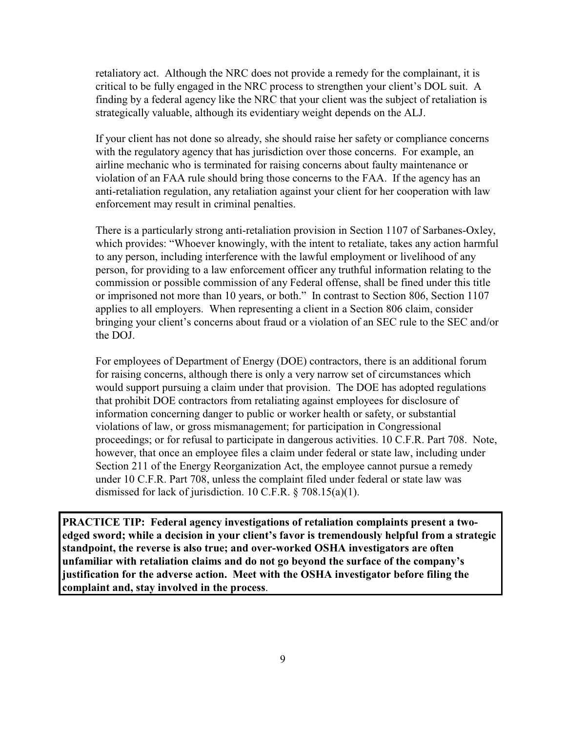retaliatory act. Although the NRC does not provide a remedy for the complainant, it is critical to be fully engaged in the NRC process to strengthen your client's DOL suit. A finding by a federal agency like the NRC that your client was the subject of retaliation is strategically valuable, although its evidentiary weight depends on the ALJ.

If your client has not done so already, she should raise her safety or compliance concerns with the regulatory agency that has jurisdiction over those concerns. For example, an airline mechanic who is terminated for raising concerns about faulty maintenance or violation of an FAA rule should bring those concerns to the FAA. If the agency has an anti-retaliation regulation, any retaliation against your client for her cooperation with law enforcement may result in criminal penalties.

There is a particularly strong anti-retaliation provision in Section 1107 of Sarbanes-Oxley, which provides: "Whoever knowingly, with the intent to retaliate, takes any action harmful to any person, including interference with the lawful employment or livelihood of any person, for providing to a law enforcement officer any truthful information relating to the commission or possible commission of any Federal offense, shall be fined under this title or imprisoned not more than 10 years, or both." In contrast to Section 806, Section 1107 applies to all employers. When representing a client in a Section 806 claim, consider bringing your client's concerns about fraud or a violation of an SEC rule to the SEC and/or the DOJ.

For employees of Department of Energy (DOE) contractors, there is an additional forum for raising concerns, although there is only a very narrow set of circumstances which would support pursuing a claim under that provision. The DOE has adopted regulations that prohibit DOE contractors from retaliating against employees for disclosure of information concerning danger to public or worker health or safety, or substantial violations of law, or gross mismanagement; for participation in Congressional proceedings; or for refusal to participate in dangerous activities. 10 C.F.R. Part 708. Note, however, that once an employee files a claim under federal or state law, including under Section 211 of the Energy Reorganization Act, the employee cannot pursue a remedy under 10 C.F.R. Part 708, unless the complaint filed under federal or state law was dismissed for lack of jurisdiction. 10 C.F.R. § 708.15(a)(1).

**PRACTICE TIP: Federal agency investigations of retaliation complaints present a twoedged sword; while a decision in your client's favor is tremendously helpful from a strategic standpoint, the reverse is also true; and over-worked OSHA investigators are often unfamiliar with retaliation claims and do not go beyond the surface of the company's justification for the adverse action. Meet with the OSHA investigator before filing the complaint and, stay involved in the process**.